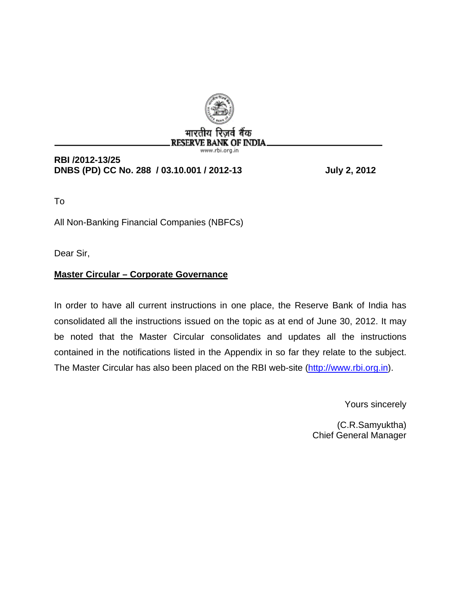

# **RESERVE BANK OF INDIA** www.rbi.org.ir

**RBI /2012-13/25 DNBS (PD) CC No. 288 / 03.10.001 / 2012-13 July 2, 2012** 

To

All Non-Banking Financial Companies (NBFCs)

Dear Sir,

# **Master Circular – Corporate Governance**

In order to have all current instructions in one place, the Reserve Bank of India has consolidated all the instructions issued on the topic as at end of June 30, 2012. It may be noted that the Master Circular consolidates and updates all the instructions contained in the notifications listed in the Appendix in so far they relate to the subject. The Master Circular has also been placed on the RBI web-site [\(http://www.rbi.org.in](http://www.rbi.org.in/)).

Yours sincerely

(C.R.Samyuktha) Chief General Manager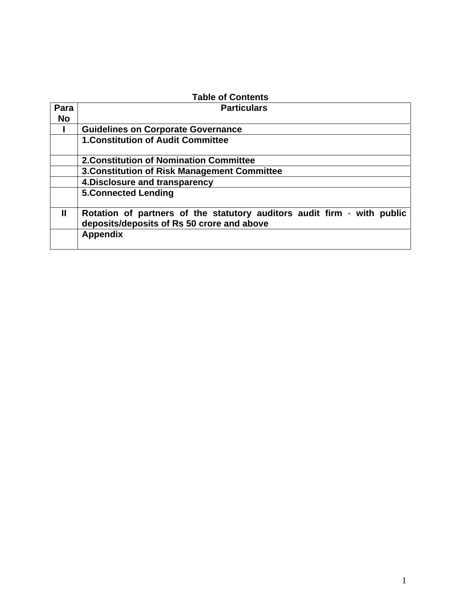| <b>Table of Contents</b> |                                                                                                                       |  |  |
|--------------------------|-----------------------------------------------------------------------------------------------------------------------|--|--|
| Para                     | <b>Particulars</b>                                                                                                    |  |  |
| <b>No</b>                |                                                                                                                       |  |  |
|                          | <b>Guidelines on Corporate Governance</b>                                                                             |  |  |
|                          | <b>1. Constitution of Audit Committee</b>                                                                             |  |  |
|                          | <b>2. Constitution of Nomination Committee</b>                                                                        |  |  |
|                          | 3. Constitution of Risk Management Committee                                                                          |  |  |
|                          | 4. Disclosure and transparency                                                                                        |  |  |
|                          | <b>5.Connected Lending</b>                                                                                            |  |  |
| Ш                        | Rotation of partners of the statutory auditors audit firm - with public<br>deposits/deposits of Rs 50 crore and above |  |  |
|                          | <b>Appendix</b>                                                                                                       |  |  |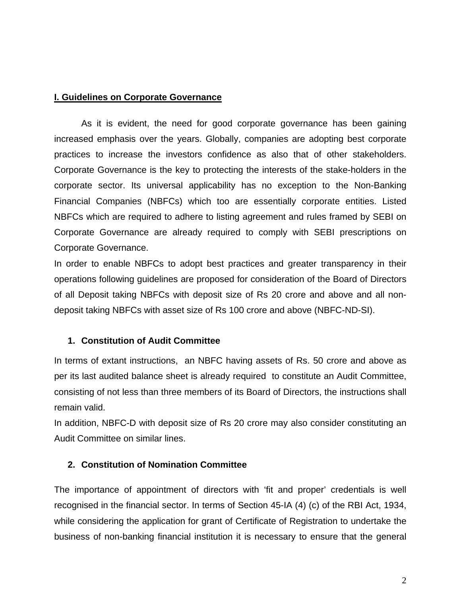#### **I. Guidelines on Corporate Governance**

 As it is evident, the need for good corporate governance has been gaining increased emphasis over the years. Globally, companies are adopting best corporate practices to increase the investors confidence as also that of other stakeholders. Corporate Governance is the key to protecting the interests of the stake-holders in the corporate sector. Its universal applicability has no exception to the Non-Banking Financial Companies (NBFCs) which too are essentially corporate entities. Listed NBFCs which are required to adhere to listing agreement and rules framed by SEBI on Corporate Governance are already required to comply with SEBI prescriptions on Corporate Governance.

In order to enable NBFCs to adopt best practices and greater transparency in their operations following guidelines are proposed for consideration of the Board of Directors of all Deposit taking NBFCs with deposit size of Rs 20 crore and above and all nondeposit taking NBFCs with asset size of Rs 100 crore and above (NBFC-ND-SI).

## **1. Constitution of Audit Committee**

In terms of extant instructions, an NBFC having assets of Rs. 50 crore and above as per its last audited balance sheet is already required to constitute an Audit Committee, consisting of not less than three members of its Board of Directors, the instructions shall remain valid.

In addition, NBFC-D with deposit size of Rs 20 crore may also consider constituting an Audit Committee on similar lines.

## **2. Constitution of Nomination Committee**

The importance of appointment of directors with 'fit and proper' credentials is well recognised in the financial sector. In terms of Section 45-IA (4) (c) of the RBI Act, 1934, while considering the application for grant of Certificate of Registration to undertake the business of non-banking financial institution it is necessary to ensure that the general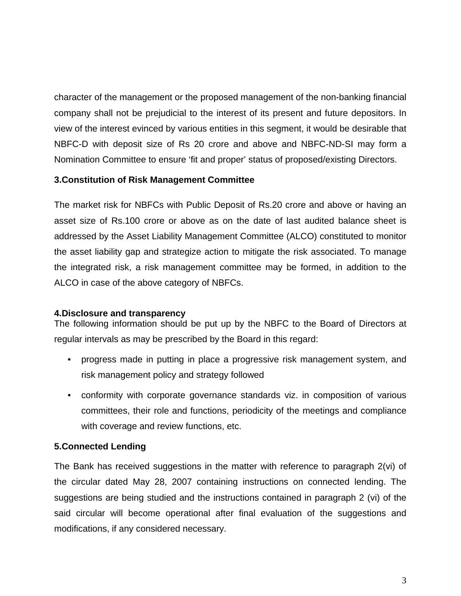character of the management or the proposed management of the non-banking financial company shall not be prejudicial to the interest of its present and future depositors. In view of the interest evinced by various entities in this segment, it would be desirable that NBFC-D with deposit size of Rs 20 crore and above and NBFC-ND-SI may form a Nomination Committee to ensure 'fit and proper' status of proposed/existing Directors.

## **3.Constitution of Risk Management Committee**

The market risk for NBFCs with Public Deposit of Rs.20 crore and above or having an asset size of Rs.100 crore or above as on the date of last audited balance sheet is addressed by the Asset Liability Management Committee (ALCO) constituted to monitor the asset liability gap and strategize action to mitigate the risk associated. To manage the integrated risk, a risk management committee may be formed, in addition to the ALCO in case of the above category of NBFCs.

## **4.Disclosure and transparency**

The following information should be put up by the NBFC to the Board of Directors at regular intervals as may be prescribed by the Board in this regard:

- progress made in putting in place a progressive risk management system, and risk management policy and strategy followed
- conformity with corporate governance standards viz. in composition of various committees, their role and functions, periodicity of the meetings and compliance with coverage and review functions, etc.

# **5.Connected Lending**

The Bank has received suggestions in the matter with reference to paragraph 2(vi) of the circular dated May 28, 2007 containing instructions on connected lending. The suggestions are being studied and the instructions contained in paragraph 2 (vi) of the said circular will become operational after final evaluation of the suggestions and modifications, if any considered necessary.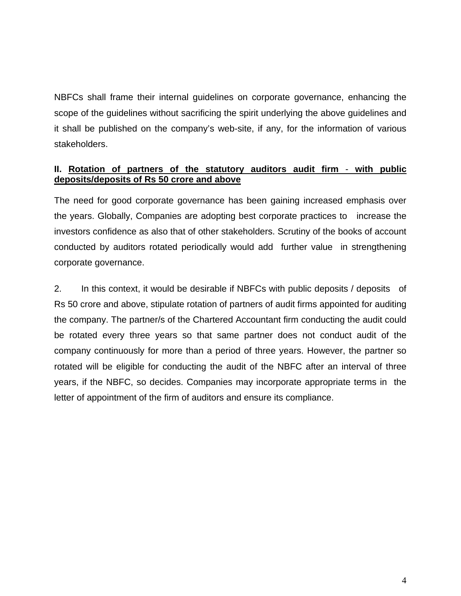NBFCs shall frame their internal guidelines on corporate governance, enhancing the scope of the guidelines without sacrificing the spirit underlying the above guidelines and it shall be published on the company's web-site, if any, for the information of various stakeholders.

# **II. Rotation of partners of the statutory auditors audit firm** - **with public deposits/deposits of Rs 50 crore and above**

The need for good corporate governance has been gaining increased emphasis over the years. Globally, Companies are adopting best corporate practices to increase the investors confidence as also that of other stakeholders. Scrutiny of the books of account conducted by auditors rotated periodically would add further value in strengthening corporate governance.

2. In this context, it would be desirable if NBFCs with public deposits / deposits of Rs 50 crore and above, stipulate rotation of partners of audit firms appointed for auditing the company. The partner/s of the Chartered Accountant firm conducting the audit could be rotated every three years so that same partner does not conduct audit of the company continuously for more than a period of three years. However, the partner so rotated will be eligible for conducting the audit of the NBFC after an interval of three years, if the NBFC, so decides. Companies may incorporate appropriate terms in the letter of appointment of the firm of auditors and ensure its compliance.